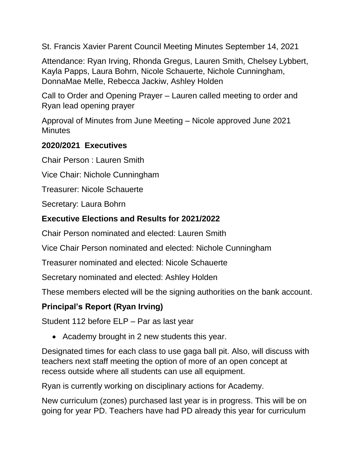St. Francis Xavier Parent Council Meeting Minutes September 14, 2021

Attendance: Ryan Irving, Rhonda Gregus, Lauren Smith, Chelsey Lybbert, Kayla Papps, Laura Bohrn, Nicole Schauerte, Nichole Cunningham, DonnaMae Melle, Rebecca Jackiw, Ashley Holden

Call to Order and Opening Prayer – Lauren called meeting to order and Ryan lead opening prayer

Approval of Minutes from June Meeting – Nicole approved June 2021 **Minutes** 

#### **2020/2021 Executives**

Chair Person : Lauren Smith

Vice Chair: Nichole Cunningham

Treasurer: Nicole Schauerte

Secretary: Laura Bohrn

#### **Executive Elections and Results for 2021/2022**

Chair Person nominated and elected: Lauren Smith

Vice Chair Person nominated and elected: Nichole Cunningham

Treasurer nominated and elected: Nicole Schauerte

Secretary nominated and elected: Ashley Holden

These members elected will be the signing authorities on the bank account.

## **Principal's Report (Ryan Irving)**

Student 112 before ELP – Par as last year

• Academy brought in 2 new students this year.

Designated times for each class to use gaga ball pit. Also, will discuss with teachers next staff meeting the option of more of an open concept at recess outside where all students can use all equipment.

Ryan is currently working on disciplinary actions for Academy.

New curriculum (zones) purchased last year is in progress. This will be on going for year PD. Teachers have had PD already this year for curriculum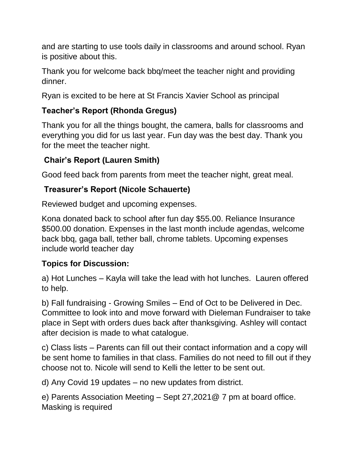and are starting to use tools daily in classrooms and around school. Ryan is positive about this.

Thank you for welcome back bbq/meet the teacher night and providing dinner.

Ryan is excited to be here at St Francis Xavier School as principal

# **Teacher's Report (Rhonda Gregus)**

Thank you for all the things bought, the camera, balls for classrooms and everything you did for us last year. Fun day was the best day. Thank you for the meet the teacher night.

# **Chair's Report (Lauren Smith)**

Good feed back from parents from meet the teacher night, great meal.

## **Treasurer's Report (Nicole Schauerte)**

Reviewed budget and upcoming expenses.

Kona donated back to school after fun day \$55.00. Reliance Insurance \$500.00 donation. Expenses in the last month include agendas, welcome back bbq, gaga ball, tether ball, chrome tablets. Upcoming expenses include world teacher day

## **Topics for Discussion:**

a) Hot Lunches – Kayla will take the lead with hot lunches. Lauren offered to help.

b) Fall fundraising - Growing Smiles – End of Oct to be Delivered in Dec. Committee to look into and move forward with Dieleman Fundraiser to take place in Sept with orders dues back after thanksgiving. Ashley will contact after decision is made to what catalogue.

c) Class lists – Parents can fill out their contact information and a copy will be sent home to families in that class. Families do not need to fill out if they choose not to. Nicole will send to Kelli the letter to be sent out.

d) Any Covid 19 updates – no new updates from district.

e) Parents Association Meeting – Sept 27,2021@ 7 pm at board office. Masking is required